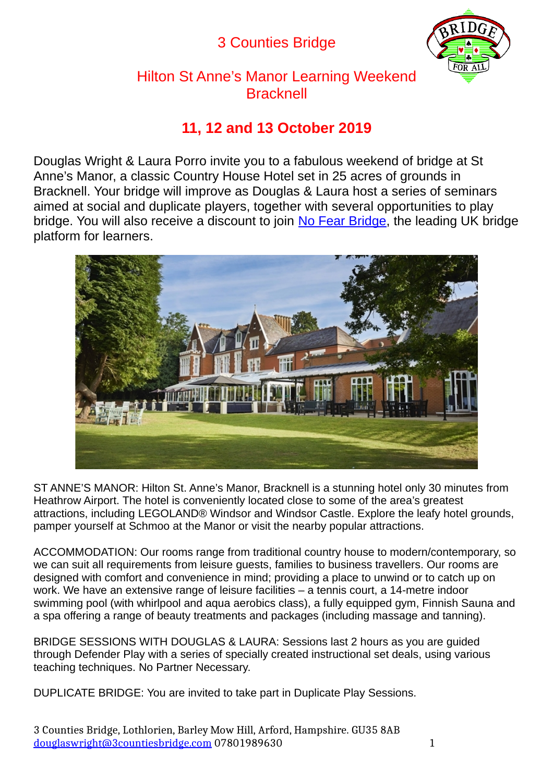# 3 Counties Bridge



Hilton St Anne's Manor Learning Weekend **Bracknell** 

## **11, 12 and 13 October 2019**

Douglas Wright & Laura Porro invite you to a fabulous weekend of bridge at St Anne's Manor, a classic Country House Hotel set in 25 acres of grounds in Bracknell. Your bridge will improve as Douglas & Laura host a series of seminars aimed at social and duplicate players, together with several opportunities to play bridge. You will also receive a discount to join [No Fear Bridge,](https://www.nofearbridge.co.uk/) the leading UK bridge platform for learners.



ST ANNE'S MANOR: Hilton St. Anne's Manor, Bracknell is a stunning hotel only 30 minutes from Heathrow Airport. The hotel is conveniently located close to some of the area's greatest attractions, including LEGOLAND® Windsor and Windsor Castle. Explore the leafy hotel grounds, pamper yourself at Schmoo at the Manor or visit the nearby popular attractions.

ACCOMMODATION: Our rooms range from traditional country house to modern/contemporary, so we can suit all requirements from leisure quests, families to business travellers. Our rooms are designed with comfort and convenience in mind; providing a place to unwind or to catch up on work. We have an extensive range of leisure facilities – a tennis court, a 14-metre indoor swimming pool (with whirlpool and aqua aerobics class), a fully equipped gym, Finnish Sauna and a spa offering a range of beauty treatments and packages (including massage and tanning).

BRIDGE SESSIONS WITH DOUGLAS & LAURA: Sessions last 2 hours as you are guided through Defender Play with a series of specially created instructional set deals, using various teaching techniques. No Partner Necessary.

DUPLICATE BRIDGE: You are invited to take part in Duplicate Play Sessions.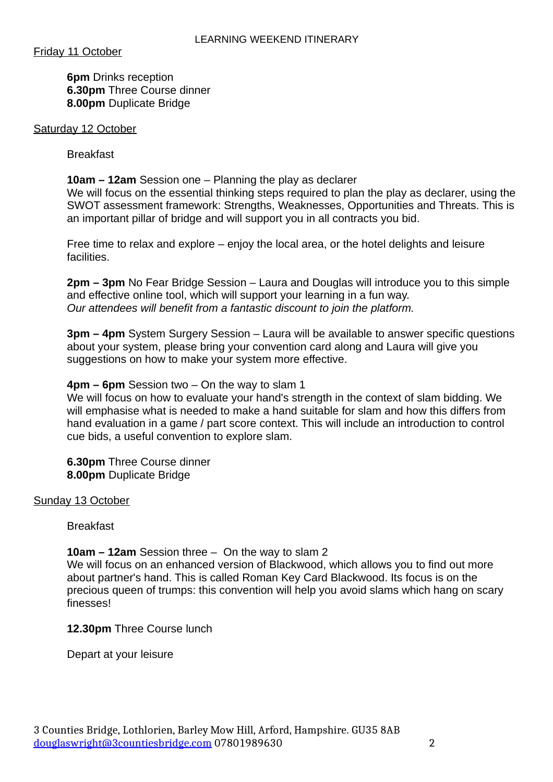Friday 11 October

**6pm** Drinks reception **6.30pm** Three Course dinner **8.00pm** Duplicate Bridge

#### Saturday 12 October

Breakfast

#### **10am – 12am** Session one – Planning the play as declarer

We will focus on the essential thinking steps required to plan the play as declarer, using the SWOT assessment framework: Strengths, Weaknesses, Opportunities and Threats. This is an important pillar of bridge and will support you in all contracts you bid.

Free time to relax and explore – enjoy the local area, or the hotel delights and leisure facilities.

**2pm – 3pm** No Fear Bridge Session – Laura and Douglas will introduce you to this simple and effective online tool, which will support your learning in a fun way. *Our attendees will benefit from a fantastic discount to join the platform.*

**3pm – 4pm** System Surgery Session – Laura will be available to answer specific questions about your system, please bring your convention card along and Laura will give you suggestions on how to make your system more effective.

#### **4pm – 6pm** Session two – On the way to slam 1

We will focus on how to evaluate your hand's strength in the context of slam bidding. We will emphasise what is needed to make a hand suitable for slam and how this differs from hand evaluation in a game / part score context. This will include an introduction to control cue bids, a useful convention to explore slam.

**6.30pm** Three Course dinner **8.00pm** Duplicate Bridge

#### Sunday 13 October

Breakfast

#### **10am – 12am** Session three – On the way to slam 2

We will focus on an enhanced version of Blackwood, which allows you to find out more about partner's hand. This is called Roman Key Card Blackwood. Its focus is on the precious queen of trumps: this convention will help you avoid slams which hang on scary finesses!

#### **12.30pm** Three Course lunch

Depart at your leisure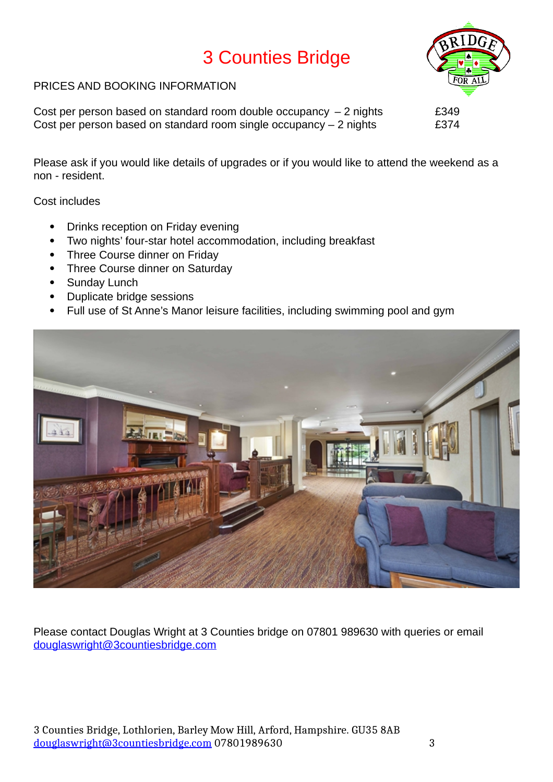# 3 Counties Bridge



#### PRICES AND BOOKING INFORMATION

Cost per person based on standard room double occupancy  $-2$  nights  $E349$ Cost per person based on standard room single occupancy  $-$  2 nights  $E374$ 

Please ask if you would like details of upgrades or if you would like to attend the weekend as a non - resident.

Cost includes

- Drinks reception on Friday evening
- Two nights' four-star hotel accommodation, including breakfast
- Three Course dinner on Friday
- Three Course dinner on Saturday
- Sunday Lunch
- Duplicate bridge sessions
- Full use of St Anne's Manor leisure facilities, including swimming pool and gym



Please contact Douglas Wright at 3 Counties bridge on 07801 989630 with queries or email [douglaswright@3countiesbridge.com](mailto:douglaswright@3countiesbridge.com)